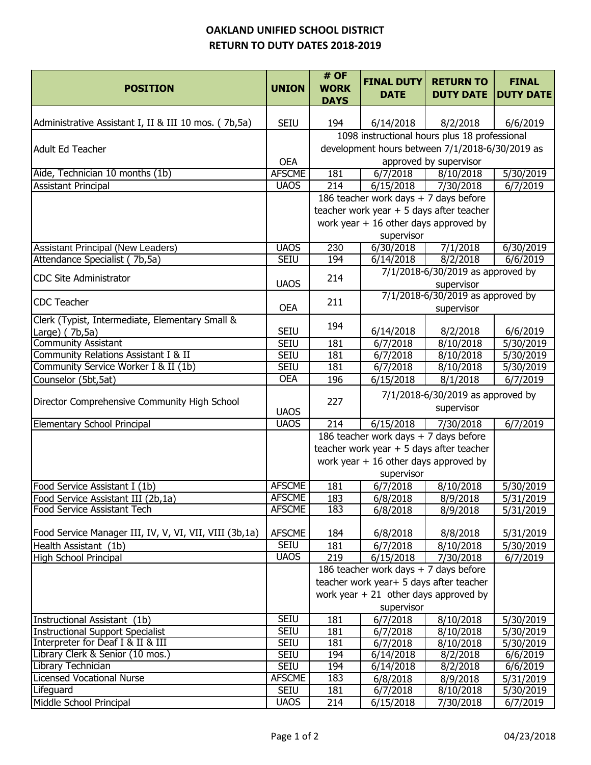## **OAKLAND UNIFIED SCHOOL DISTRICT RETURN TO DUTY DATES 2018-2019**

| <b>SEIU</b><br>194<br>6/14/2018<br>8/2/2018<br>6/6/2019<br>1098 instructional hours plus 18 professional<br>development hours between 7/1/2018-6/30/2019 as<br>Adult Ed Teacher<br><b>OEA</b><br>approved by supervisor<br>Aide, Technician 10 months (1b)<br><b>AFSCME</b><br>181<br>5/30/2019<br>6/7/2018<br>8/10/2018<br><b>UAOS</b><br><b>Assistant Principal</b><br>214<br>6/15/2018<br>7/30/2018<br>6/7/2019<br>186 teacher work days + 7 days before<br>teacher work year $+5$ days after teacher<br>work year $+16$ other days approved by<br>supervisor<br><b>Assistant Principal (New Leaders)</b><br><b>UAOS</b><br>230<br>6/30/2018<br>7/1/2018<br>$\sqrt{6/30/2019}$<br>Attendance Specialist (7b,5a)<br><b>SEIU</b><br>194<br>6/14/2018<br>8/2/2018<br>6/6/2019<br>7/1/2018-6/30/2019 as approved by<br><b>CDC Site Administrator</b><br>214<br><b>UAOS</b><br>supervisor<br>7/1/2018-6/30/2019 as approved by<br><b>CDC Teacher</b><br>211<br><b>OEA</b><br>supervisor<br>Clerk (Typist, Intermediate, Elementary Small &<br>194<br><b>SEIU</b><br>6/14/2018<br>8/2/2018<br>6/6/2019<br>Large) (7b,5a)<br><b>Community Assistant</b><br><b>SEIU</b><br>181<br>6/7/2018<br>8/10/2018<br>5/30/2019<br>Community Relations Assistant I & II<br><b>SEIU</b><br>181<br>6/7/2018<br>8/10/2018<br>5/30/2019<br>Community Service Worker I & II (1b)<br><b>SEIU</b><br>181<br>$\sqrt{6/7/2018}$<br>5/30/2019<br>8/10/2018<br><b>OEA</b><br>196<br>6/15/2018<br>8/1/2018<br>6/7/2019<br>Counselor (5bt,5at)<br>7/1/2018-6/30/2019 as approved by<br>227<br>supervisor<br><b>UAOS</b><br><b>UAOS</b><br>Elementary School Principal<br>214<br>6/15/2018<br>6/7/2019<br>7/30/2018<br>186 teacher work days + 7 days before<br>teacher work year $+5$ days after teacher<br>work year $+16$ other days approved by<br>supervisor<br><b>AFSCME</b><br>181<br>Food Service Assistant I (1b)<br>6/7/2018<br>8/10/2018<br>5/30/2019<br><b>AFSCME</b><br>183<br>6/8/2018<br>8/9/2018<br>5/31/2019<br>Food Service Assistant III (2b,1a)<br><b>AFSCME</b><br>183<br>6/8/2018<br>8/9/2018<br>5/31/2019<br>Food Service Manager III, IV, V, VI, VII, VIII (3b,1a)<br><b>AFSCME</b><br>184<br>6/8/2018<br>8/8/2018<br>5/31/2019<br><b>SEIU</b><br>181<br>6/7/2018<br>5/30/2019<br>8/10/2018<br><b>UAOS</b><br>219<br>$\sqrt{6}/7/2019$<br>6/15/2018<br>7/30/2018<br>186 teacher work days + 7 days before<br>teacher work year+ 5 days after teacher<br>work year $+21$ other days approved by<br>supervisor<br><b>SEIU</b><br>181<br>6/7/2018<br>8/10/2018<br>Instructional Assistant (1b)<br>5/30/2019<br>SEIU<br>181<br><b>Instructional Support Specialist</b><br>6/7/2018<br>8/10/2018<br>5/30/2019<br>181<br>Interpreter for Deaf I & II & III<br><b>SEIU</b><br>6/7/2018<br>8/10/2018<br>5/30/2019<br>Library Clerk & Senior (10 mos.)<br>194<br><b>SEIU</b><br>6/14/2018<br>$\sqrt{8/2}/2018$<br>6/6/2019<br>Library Technician<br><b>SEIU</b><br>194<br>6/14/2018<br>$\sqrt{8}/2/2018$<br>6/6/2019<br><b>Licensed Vocational Nurse</b><br><b>AFSCME</b><br>183<br>6/8/2018<br>8/9/2018<br>5/31/2019<br>Lifeguard<br>SEIU<br>181<br>6/7/2018<br>8/10/2018<br>5/30/2019<br><b>UAOS</b> | <b>POSITION</b>                                      | <b>UNION</b> | # OF<br><b>WORK</b><br><b>DAYS</b> | <b>FINAL DUTY</b><br><b>DATE</b> | <b>RETURN TO</b><br><b>DUTY DATE</b> | <b>FINAL</b><br><b>DUTY DATE</b> |  |
|-----------------------------------------------------------------------------------------------------------------------------------------------------------------------------------------------------------------------------------------------------------------------------------------------------------------------------------------------------------------------------------------------------------------------------------------------------------------------------------------------------------------------------------------------------------------------------------------------------------------------------------------------------------------------------------------------------------------------------------------------------------------------------------------------------------------------------------------------------------------------------------------------------------------------------------------------------------------------------------------------------------------------------------------------------------------------------------------------------------------------------------------------------------------------------------------------------------------------------------------------------------------------------------------------------------------------------------------------------------------------------------------------------------------------------------------------------------------------------------------------------------------------------------------------------------------------------------------------------------------------------------------------------------------------------------------------------------------------------------------------------------------------------------------------------------------------------------------------------------------------------------------------------------------------------------------------------------------------------------------------------------------------------------------------------------------------------------------------------------------------------------------------------------------------------------------------------------------------------------------------------------------------------------------------------------------------------------------------------------------------------------------------------------------------------------------------------------------------------------------------------------------------------------------------------------------------------------------------------------------------------------------------------------------------------------------------------------------------------------------------------------------------------------------------------------------------------------------------------------------------------------------------------------------------------------------------------------------------------------------------------------------------------------------------------------------------------------------------------------------------------------------------------------------------------------------|------------------------------------------------------|--------------|------------------------------------|----------------------------------|--------------------------------------|----------------------------------|--|
|                                                                                                                                                                                                                                                                                                                                                                                                                                                                                                                                                                                                                                                                                                                                                                                                                                                                                                                                                                                                                                                                                                                                                                                                                                                                                                                                                                                                                                                                                                                                                                                                                                                                                                                                                                                                                                                                                                                                                                                                                                                                                                                                                                                                                                                                                                                                                                                                                                                                                                                                                                                                                                                                                                                                                                                                                                                                                                                                                                                                                                                                                                                                                                                         | Administrative Assistant I, II & III 10 mos. (7b,5a) |              |                                    |                                  |                                      |                                  |  |
|                                                                                                                                                                                                                                                                                                                                                                                                                                                                                                                                                                                                                                                                                                                                                                                                                                                                                                                                                                                                                                                                                                                                                                                                                                                                                                                                                                                                                                                                                                                                                                                                                                                                                                                                                                                                                                                                                                                                                                                                                                                                                                                                                                                                                                                                                                                                                                                                                                                                                                                                                                                                                                                                                                                                                                                                                                                                                                                                                                                                                                                                                                                                                                                         |                                                      |              |                                    |                                  |                                      |                                  |  |
|                                                                                                                                                                                                                                                                                                                                                                                                                                                                                                                                                                                                                                                                                                                                                                                                                                                                                                                                                                                                                                                                                                                                                                                                                                                                                                                                                                                                                                                                                                                                                                                                                                                                                                                                                                                                                                                                                                                                                                                                                                                                                                                                                                                                                                                                                                                                                                                                                                                                                                                                                                                                                                                                                                                                                                                                                                                                                                                                                                                                                                                                                                                                                                                         |                                                      |              |                                    |                                  |                                      |                                  |  |
|                                                                                                                                                                                                                                                                                                                                                                                                                                                                                                                                                                                                                                                                                                                                                                                                                                                                                                                                                                                                                                                                                                                                                                                                                                                                                                                                                                                                                                                                                                                                                                                                                                                                                                                                                                                                                                                                                                                                                                                                                                                                                                                                                                                                                                                                                                                                                                                                                                                                                                                                                                                                                                                                                                                                                                                                                                                                                                                                                                                                                                                                                                                                                                                         |                                                      |              |                                    |                                  |                                      |                                  |  |
|                                                                                                                                                                                                                                                                                                                                                                                                                                                                                                                                                                                                                                                                                                                                                                                                                                                                                                                                                                                                                                                                                                                                                                                                                                                                                                                                                                                                                                                                                                                                                                                                                                                                                                                                                                                                                                                                                                                                                                                                                                                                                                                                                                                                                                                                                                                                                                                                                                                                                                                                                                                                                                                                                                                                                                                                                                                                                                                                                                                                                                                                                                                                                                                         |                                                      |              |                                    |                                  |                                      |                                  |  |
|                                                                                                                                                                                                                                                                                                                                                                                                                                                                                                                                                                                                                                                                                                                                                                                                                                                                                                                                                                                                                                                                                                                                                                                                                                                                                                                                                                                                                                                                                                                                                                                                                                                                                                                                                                                                                                                                                                                                                                                                                                                                                                                                                                                                                                                                                                                                                                                                                                                                                                                                                                                                                                                                                                                                                                                                                                                                                                                                                                                                                                                                                                                                                                                         |                                                      |              |                                    |                                  |                                      |                                  |  |
|                                                                                                                                                                                                                                                                                                                                                                                                                                                                                                                                                                                                                                                                                                                                                                                                                                                                                                                                                                                                                                                                                                                                                                                                                                                                                                                                                                                                                                                                                                                                                                                                                                                                                                                                                                                                                                                                                                                                                                                                                                                                                                                                                                                                                                                                                                                                                                                                                                                                                                                                                                                                                                                                                                                                                                                                                                                                                                                                                                                                                                                                                                                                                                                         |                                                      |              |                                    |                                  |                                      |                                  |  |
|                                                                                                                                                                                                                                                                                                                                                                                                                                                                                                                                                                                                                                                                                                                                                                                                                                                                                                                                                                                                                                                                                                                                                                                                                                                                                                                                                                                                                                                                                                                                                                                                                                                                                                                                                                                                                                                                                                                                                                                                                                                                                                                                                                                                                                                                                                                                                                                                                                                                                                                                                                                                                                                                                                                                                                                                                                                                                                                                                                                                                                                                                                                                                                                         |                                                      |              |                                    |                                  |                                      |                                  |  |
|                                                                                                                                                                                                                                                                                                                                                                                                                                                                                                                                                                                                                                                                                                                                                                                                                                                                                                                                                                                                                                                                                                                                                                                                                                                                                                                                                                                                                                                                                                                                                                                                                                                                                                                                                                                                                                                                                                                                                                                                                                                                                                                                                                                                                                                                                                                                                                                                                                                                                                                                                                                                                                                                                                                                                                                                                                                                                                                                                                                                                                                                                                                                                                                         |                                                      |              |                                    |                                  |                                      |                                  |  |
|                                                                                                                                                                                                                                                                                                                                                                                                                                                                                                                                                                                                                                                                                                                                                                                                                                                                                                                                                                                                                                                                                                                                                                                                                                                                                                                                                                                                                                                                                                                                                                                                                                                                                                                                                                                                                                                                                                                                                                                                                                                                                                                                                                                                                                                                                                                                                                                                                                                                                                                                                                                                                                                                                                                                                                                                                                                                                                                                                                                                                                                                                                                                                                                         |                                                      |              |                                    |                                  |                                      |                                  |  |
|                                                                                                                                                                                                                                                                                                                                                                                                                                                                                                                                                                                                                                                                                                                                                                                                                                                                                                                                                                                                                                                                                                                                                                                                                                                                                                                                                                                                                                                                                                                                                                                                                                                                                                                                                                                                                                                                                                                                                                                                                                                                                                                                                                                                                                                                                                                                                                                                                                                                                                                                                                                                                                                                                                                                                                                                                                                                                                                                                                                                                                                                                                                                                                                         |                                                      |              |                                    |                                  |                                      |                                  |  |
|                                                                                                                                                                                                                                                                                                                                                                                                                                                                                                                                                                                                                                                                                                                                                                                                                                                                                                                                                                                                                                                                                                                                                                                                                                                                                                                                                                                                                                                                                                                                                                                                                                                                                                                                                                                                                                                                                                                                                                                                                                                                                                                                                                                                                                                                                                                                                                                                                                                                                                                                                                                                                                                                                                                                                                                                                                                                                                                                                                                                                                                                                                                                                                                         |                                                      |              |                                    |                                  |                                      |                                  |  |
|                                                                                                                                                                                                                                                                                                                                                                                                                                                                                                                                                                                                                                                                                                                                                                                                                                                                                                                                                                                                                                                                                                                                                                                                                                                                                                                                                                                                                                                                                                                                                                                                                                                                                                                                                                                                                                                                                                                                                                                                                                                                                                                                                                                                                                                                                                                                                                                                                                                                                                                                                                                                                                                                                                                                                                                                                                                                                                                                                                                                                                                                                                                                                                                         |                                                      |              |                                    |                                  |                                      |                                  |  |
|                                                                                                                                                                                                                                                                                                                                                                                                                                                                                                                                                                                                                                                                                                                                                                                                                                                                                                                                                                                                                                                                                                                                                                                                                                                                                                                                                                                                                                                                                                                                                                                                                                                                                                                                                                                                                                                                                                                                                                                                                                                                                                                                                                                                                                                                                                                                                                                                                                                                                                                                                                                                                                                                                                                                                                                                                                                                                                                                                                                                                                                                                                                                                                                         |                                                      |              |                                    |                                  |                                      |                                  |  |
|                                                                                                                                                                                                                                                                                                                                                                                                                                                                                                                                                                                                                                                                                                                                                                                                                                                                                                                                                                                                                                                                                                                                                                                                                                                                                                                                                                                                                                                                                                                                                                                                                                                                                                                                                                                                                                                                                                                                                                                                                                                                                                                                                                                                                                                                                                                                                                                                                                                                                                                                                                                                                                                                                                                                                                                                                                                                                                                                                                                                                                                                                                                                                                                         |                                                      |              |                                    |                                  |                                      |                                  |  |
|                                                                                                                                                                                                                                                                                                                                                                                                                                                                                                                                                                                                                                                                                                                                                                                                                                                                                                                                                                                                                                                                                                                                                                                                                                                                                                                                                                                                                                                                                                                                                                                                                                                                                                                                                                                                                                                                                                                                                                                                                                                                                                                                                                                                                                                                                                                                                                                                                                                                                                                                                                                                                                                                                                                                                                                                                                                                                                                                                                                                                                                                                                                                                                                         |                                                      |              |                                    |                                  |                                      |                                  |  |
|                                                                                                                                                                                                                                                                                                                                                                                                                                                                                                                                                                                                                                                                                                                                                                                                                                                                                                                                                                                                                                                                                                                                                                                                                                                                                                                                                                                                                                                                                                                                                                                                                                                                                                                                                                                                                                                                                                                                                                                                                                                                                                                                                                                                                                                                                                                                                                                                                                                                                                                                                                                                                                                                                                                                                                                                                                                                                                                                                                                                                                                                                                                                                                                         |                                                      |              |                                    |                                  |                                      |                                  |  |
|                                                                                                                                                                                                                                                                                                                                                                                                                                                                                                                                                                                                                                                                                                                                                                                                                                                                                                                                                                                                                                                                                                                                                                                                                                                                                                                                                                                                                                                                                                                                                                                                                                                                                                                                                                                                                                                                                                                                                                                                                                                                                                                                                                                                                                                                                                                                                                                                                                                                                                                                                                                                                                                                                                                                                                                                                                                                                                                                                                                                                                                                                                                                                                                         |                                                      |              |                                    |                                  |                                      |                                  |  |
|                                                                                                                                                                                                                                                                                                                                                                                                                                                                                                                                                                                                                                                                                                                                                                                                                                                                                                                                                                                                                                                                                                                                                                                                                                                                                                                                                                                                                                                                                                                                                                                                                                                                                                                                                                                                                                                                                                                                                                                                                                                                                                                                                                                                                                                                                                                                                                                                                                                                                                                                                                                                                                                                                                                                                                                                                                                                                                                                                                                                                                                                                                                                                                                         |                                                      |              |                                    |                                  |                                      |                                  |  |
|                                                                                                                                                                                                                                                                                                                                                                                                                                                                                                                                                                                                                                                                                                                                                                                                                                                                                                                                                                                                                                                                                                                                                                                                                                                                                                                                                                                                                                                                                                                                                                                                                                                                                                                                                                                                                                                                                                                                                                                                                                                                                                                                                                                                                                                                                                                                                                                                                                                                                                                                                                                                                                                                                                                                                                                                                                                                                                                                                                                                                                                                                                                                                                                         |                                                      |              |                                    |                                  |                                      |                                  |  |
|                                                                                                                                                                                                                                                                                                                                                                                                                                                                                                                                                                                                                                                                                                                                                                                                                                                                                                                                                                                                                                                                                                                                                                                                                                                                                                                                                                                                                                                                                                                                                                                                                                                                                                                                                                                                                                                                                                                                                                                                                                                                                                                                                                                                                                                                                                                                                                                                                                                                                                                                                                                                                                                                                                                                                                                                                                                                                                                                                                                                                                                                                                                                                                                         |                                                      |              |                                    |                                  |                                      |                                  |  |
|                                                                                                                                                                                                                                                                                                                                                                                                                                                                                                                                                                                                                                                                                                                                                                                                                                                                                                                                                                                                                                                                                                                                                                                                                                                                                                                                                                                                                                                                                                                                                                                                                                                                                                                                                                                                                                                                                                                                                                                                                                                                                                                                                                                                                                                                                                                                                                                                                                                                                                                                                                                                                                                                                                                                                                                                                                                                                                                                                                                                                                                                                                                                                                                         | Director Comprehensive Community High School         |              |                                    |                                  |                                      |                                  |  |
|                                                                                                                                                                                                                                                                                                                                                                                                                                                                                                                                                                                                                                                                                                                                                                                                                                                                                                                                                                                                                                                                                                                                                                                                                                                                                                                                                                                                                                                                                                                                                                                                                                                                                                                                                                                                                                                                                                                                                                                                                                                                                                                                                                                                                                                                                                                                                                                                                                                                                                                                                                                                                                                                                                                                                                                                                                                                                                                                                                                                                                                                                                                                                                                         |                                                      |              |                                    |                                  |                                      |                                  |  |
|                                                                                                                                                                                                                                                                                                                                                                                                                                                                                                                                                                                                                                                                                                                                                                                                                                                                                                                                                                                                                                                                                                                                                                                                                                                                                                                                                                                                                                                                                                                                                                                                                                                                                                                                                                                                                                                                                                                                                                                                                                                                                                                                                                                                                                                                                                                                                                                                                                                                                                                                                                                                                                                                                                                                                                                                                                                                                                                                                                                                                                                                                                                                                                                         |                                                      |              |                                    |                                  |                                      |                                  |  |
|                                                                                                                                                                                                                                                                                                                                                                                                                                                                                                                                                                                                                                                                                                                                                                                                                                                                                                                                                                                                                                                                                                                                                                                                                                                                                                                                                                                                                                                                                                                                                                                                                                                                                                                                                                                                                                                                                                                                                                                                                                                                                                                                                                                                                                                                                                                                                                                                                                                                                                                                                                                                                                                                                                                                                                                                                                                                                                                                                                                                                                                                                                                                                                                         |                                                      |              |                                    |                                  |                                      |                                  |  |
|                                                                                                                                                                                                                                                                                                                                                                                                                                                                                                                                                                                                                                                                                                                                                                                                                                                                                                                                                                                                                                                                                                                                                                                                                                                                                                                                                                                                                                                                                                                                                                                                                                                                                                                                                                                                                                                                                                                                                                                                                                                                                                                                                                                                                                                                                                                                                                                                                                                                                                                                                                                                                                                                                                                                                                                                                                                                                                                                                                                                                                                                                                                                                                                         |                                                      |              |                                    |                                  |                                      |                                  |  |
|                                                                                                                                                                                                                                                                                                                                                                                                                                                                                                                                                                                                                                                                                                                                                                                                                                                                                                                                                                                                                                                                                                                                                                                                                                                                                                                                                                                                                                                                                                                                                                                                                                                                                                                                                                                                                                                                                                                                                                                                                                                                                                                                                                                                                                                                                                                                                                                                                                                                                                                                                                                                                                                                                                                                                                                                                                                                                                                                                                                                                                                                                                                                                                                         |                                                      |              |                                    |                                  |                                      |                                  |  |
|                                                                                                                                                                                                                                                                                                                                                                                                                                                                                                                                                                                                                                                                                                                                                                                                                                                                                                                                                                                                                                                                                                                                                                                                                                                                                                                                                                                                                                                                                                                                                                                                                                                                                                                                                                                                                                                                                                                                                                                                                                                                                                                                                                                                                                                                                                                                                                                                                                                                                                                                                                                                                                                                                                                                                                                                                                                                                                                                                                                                                                                                                                                                                                                         |                                                      |              |                                    |                                  |                                      |                                  |  |
|                                                                                                                                                                                                                                                                                                                                                                                                                                                                                                                                                                                                                                                                                                                                                                                                                                                                                                                                                                                                                                                                                                                                                                                                                                                                                                                                                                                                                                                                                                                                                                                                                                                                                                                                                                                                                                                                                                                                                                                                                                                                                                                                                                                                                                                                                                                                                                                                                                                                                                                                                                                                                                                                                                                                                                                                                                                                                                                                                                                                                                                                                                                                                                                         |                                                      |              |                                    |                                  |                                      |                                  |  |
|                                                                                                                                                                                                                                                                                                                                                                                                                                                                                                                                                                                                                                                                                                                                                                                                                                                                                                                                                                                                                                                                                                                                                                                                                                                                                                                                                                                                                                                                                                                                                                                                                                                                                                                                                                                                                                                                                                                                                                                                                                                                                                                                                                                                                                                                                                                                                                                                                                                                                                                                                                                                                                                                                                                                                                                                                                                                                                                                                                                                                                                                                                                                                                                         | <b>Food Service Assistant Tech</b>                   |              |                                    |                                  |                                      |                                  |  |
|                                                                                                                                                                                                                                                                                                                                                                                                                                                                                                                                                                                                                                                                                                                                                                                                                                                                                                                                                                                                                                                                                                                                                                                                                                                                                                                                                                                                                                                                                                                                                                                                                                                                                                                                                                                                                                                                                                                                                                                                                                                                                                                                                                                                                                                                                                                                                                                                                                                                                                                                                                                                                                                                                                                                                                                                                                                                                                                                                                                                                                                                                                                                                                                         |                                                      |              |                                    |                                  |                                      |                                  |  |
|                                                                                                                                                                                                                                                                                                                                                                                                                                                                                                                                                                                                                                                                                                                                                                                                                                                                                                                                                                                                                                                                                                                                                                                                                                                                                                                                                                                                                                                                                                                                                                                                                                                                                                                                                                                                                                                                                                                                                                                                                                                                                                                                                                                                                                                                                                                                                                                                                                                                                                                                                                                                                                                                                                                                                                                                                                                                                                                                                                                                                                                                                                                                                                                         | Health Assistant (1b)                                |              |                                    |                                  |                                      |                                  |  |
|                                                                                                                                                                                                                                                                                                                                                                                                                                                                                                                                                                                                                                                                                                                                                                                                                                                                                                                                                                                                                                                                                                                                                                                                                                                                                                                                                                                                                                                                                                                                                                                                                                                                                                                                                                                                                                                                                                                                                                                                                                                                                                                                                                                                                                                                                                                                                                                                                                                                                                                                                                                                                                                                                                                                                                                                                                                                                                                                                                                                                                                                                                                                                                                         | High School Principal                                |              |                                    |                                  |                                      |                                  |  |
|                                                                                                                                                                                                                                                                                                                                                                                                                                                                                                                                                                                                                                                                                                                                                                                                                                                                                                                                                                                                                                                                                                                                                                                                                                                                                                                                                                                                                                                                                                                                                                                                                                                                                                                                                                                                                                                                                                                                                                                                                                                                                                                                                                                                                                                                                                                                                                                                                                                                                                                                                                                                                                                                                                                                                                                                                                                                                                                                                                                                                                                                                                                                                                                         |                                                      |              |                                    |                                  |                                      |                                  |  |
|                                                                                                                                                                                                                                                                                                                                                                                                                                                                                                                                                                                                                                                                                                                                                                                                                                                                                                                                                                                                                                                                                                                                                                                                                                                                                                                                                                                                                                                                                                                                                                                                                                                                                                                                                                                                                                                                                                                                                                                                                                                                                                                                                                                                                                                                                                                                                                                                                                                                                                                                                                                                                                                                                                                                                                                                                                                                                                                                                                                                                                                                                                                                                                                         |                                                      |              |                                    |                                  |                                      |                                  |  |
|                                                                                                                                                                                                                                                                                                                                                                                                                                                                                                                                                                                                                                                                                                                                                                                                                                                                                                                                                                                                                                                                                                                                                                                                                                                                                                                                                                                                                                                                                                                                                                                                                                                                                                                                                                                                                                                                                                                                                                                                                                                                                                                                                                                                                                                                                                                                                                                                                                                                                                                                                                                                                                                                                                                                                                                                                                                                                                                                                                                                                                                                                                                                                                                         |                                                      |              |                                    |                                  |                                      |                                  |  |
|                                                                                                                                                                                                                                                                                                                                                                                                                                                                                                                                                                                                                                                                                                                                                                                                                                                                                                                                                                                                                                                                                                                                                                                                                                                                                                                                                                                                                                                                                                                                                                                                                                                                                                                                                                                                                                                                                                                                                                                                                                                                                                                                                                                                                                                                                                                                                                                                                                                                                                                                                                                                                                                                                                                                                                                                                                                                                                                                                                                                                                                                                                                                                                                         |                                                      |              |                                    |                                  |                                      |                                  |  |
|                                                                                                                                                                                                                                                                                                                                                                                                                                                                                                                                                                                                                                                                                                                                                                                                                                                                                                                                                                                                                                                                                                                                                                                                                                                                                                                                                                                                                                                                                                                                                                                                                                                                                                                                                                                                                                                                                                                                                                                                                                                                                                                                                                                                                                                                                                                                                                                                                                                                                                                                                                                                                                                                                                                                                                                                                                                                                                                                                                                                                                                                                                                                                                                         |                                                      |              |                                    |                                  |                                      |                                  |  |
|                                                                                                                                                                                                                                                                                                                                                                                                                                                                                                                                                                                                                                                                                                                                                                                                                                                                                                                                                                                                                                                                                                                                                                                                                                                                                                                                                                                                                                                                                                                                                                                                                                                                                                                                                                                                                                                                                                                                                                                                                                                                                                                                                                                                                                                                                                                                                                                                                                                                                                                                                                                                                                                                                                                                                                                                                                                                                                                                                                                                                                                                                                                                                                                         |                                                      |              |                                    |                                  |                                      |                                  |  |
|                                                                                                                                                                                                                                                                                                                                                                                                                                                                                                                                                                                                                                                                                                                                                                                                                                                                                                                                                                                                                                                                                                                                                                                                                                                                                                                                                                                                                                                                                                                                                                                                                                                                                                                                                                                                                                                                                                                                                                                                                                                                                                                                                                                                                                                                                                                                                                                                                                                                                                                                                                                                                                                                                                                                                                                                                                                                                                                                                                                                                                                                                                                                                                                         |                                                      |              |                                    |                                  |                                      |                                  |  |
|                                                                                                                                                                                                                                                                                                                                                                                                                                                                                                                                                                                                                                                                                                                                                                                                                                                                                                                                                                                                                                                                                                                                                                                                                                                                                                                                                                                                                                                                                                                                                                                                                                                                                                                                                                                                                                                                                                                                                                                                                                                                                                                                                                                                                                                                                                                                                                                                                                                                                                                                                                                                                                                                                                                                                                                                                                                                                                                                                                                                                                                                                                                                                                                         |                                                      |              |                                    |                                  |                                      |                                  |  |
|                                                                                                                                                                                                                                                                                                                                                                                                                                                                                                                                                                                                                                                                                                                                                                                                                                                                                                                                                                                                                                                                                                                                                                                                                                                                                                                                                                                                                                                                                                                                                                                                                                                                                                                                                                                                                                                                                                                                                                                                                                                                                                                                                                                                                                                                                                                                                                                                                                                                                                                                                                                                                                                                                                                                                                                                                                                                                                                                                                                                                                                                                                                                                                                         |                                                      |              |                                    |                                  |                                      |                                  |  |
|                                                                                                                                                                                                                                                                                                                                                                                                                                                                                                                                                                                                                                                                                                                                                                                                                                                                                                                                                                                                                                                                                                                                                                                                                                                                                                                                                                                                                                                                                                                                                                                                                                                                                                                                                                                                                                                                                                                                                                                                                                                                                                                                                                                                                                                                                                                                                                                                                                                                                                                                                                                                                                                                                                                                                                                                                                                                                                                                                                                                                                                                                                                                                                                         |                                                      |              |                                    |                                  |                                      |                                  |  |
|                                                                                                                                                                                                                                                                                                                                                                                                                                                                                                                                                                                                                                                                                                                                                                                                                                                                                                                                                                                                                                                                                                                                                                                                                                                                                                                                                                                                                                                                                                                                                                                                                                                                                                                                                                                                                                                                                                                                                                                                                                                                                                                                                                                                                                                                                                                                                                                                                                                                                                                                                                                                                                                                                                                                                                                                                                                                                                                                                                                                                                                                                                                                                                                         | Middle School Principal                              |              | 214                                | 6/15/2018                        | 7/30/2018                            | 6/7/2019                         |  |